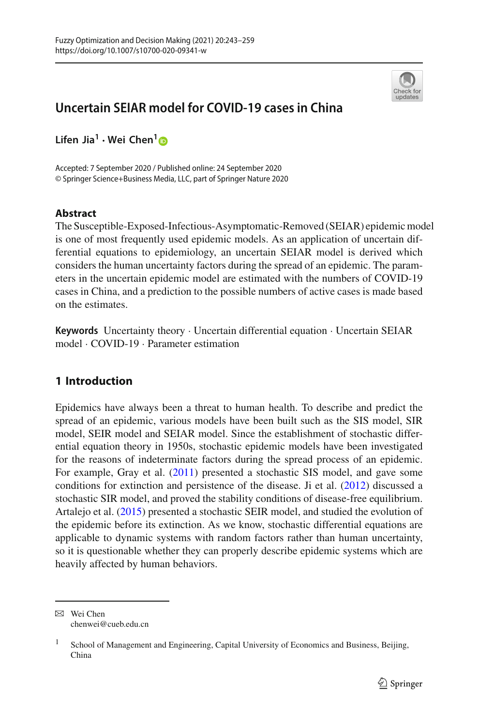

# **Uncertain SEIAR model for COVID-19 cases in China**

**Lifen Jia1 · Wei Chen[1](http://orcid.org/0000-0003-1624-8492)**

Accepted: 7 September 2020 / Published online: 24 September 2020 © Springer Science+Business Media, LLC, part of Springer Nature 2020

## **Abstract**

The Susceptible-Exposed-Infectious-Asymptomatic-Removed (SEIAR) epidemic model is one of most frequently used epidemic models. As an application of uncertain differential equations to epidemiology, an uncertain SEIAR model is derived which considers the human uncertainty factors during the spread of an epidemic. The parameters in the uncertain epidemic model are estimated with the numbers of COVID-19 cases in China, and a prediction to the possible numbers of active cases is made based on the estimates.

**Keywords** Uncertainty theory · Uncertain differential equation · Uncertain SEIAR model · COVID-19 · Parameter estimation

## **1 Introduction**

Epidemics have always been a threat to human health. To describe and predict the spread of an epidemic, various models have been built such as the SIS model, SIR model, SEIR model and SEIAR model. Since the establishment of stochastic differential equation theory in 1950s, stochastic epidemic models have been investigated for the reasons of indeterminate factors during the spread process of an epidemic. For example, Gray et al[.](#page-15-0) [\(2011](#page-15-0)) presented a stochastic SIS model, and gave some conditions for extinction and persistence of the disease. Ji et al[.](#page-15-1) [\(2012\)](#page-15-1) discussed a stochastic SIR model, and proved the stability conditions of disease-free equilibrium. Artalejo et al[.](#page-15-2) [\(2015](#page-15-2)) presented a stochastic SEIR model, and studied the evolution of the epidemic before its extinction. As we know, stochastic differential equations are applicable to dynamic systems with random factors rather than human uncertainty, so it is questionable whether they can properly describe epidemic systems which are heavily affected by human behaviors.

B Wei Chen chenwei@cueb.edu.cn

<sup>&</sup>lt;sup>1</sup> School of Management and Engineering, Capital University of Economics and Business, Beijing, China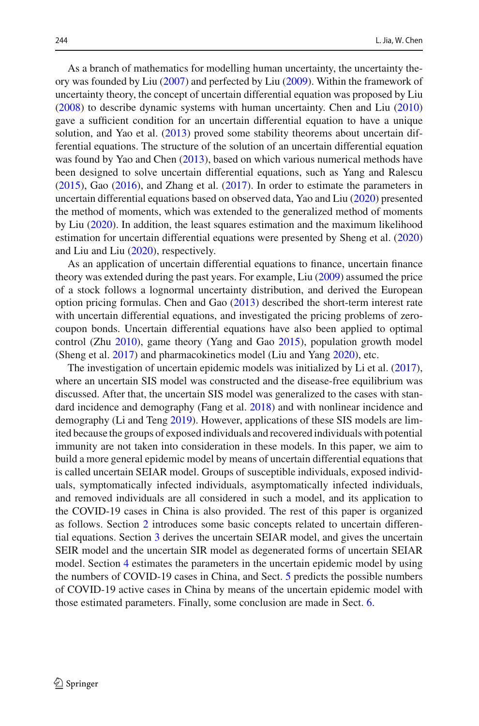As a branch of mathematics for modelling human uncertainty, the uncertainty theory was founded by Li[u](#page-16-0) [\(2007\)](#page-16-0) and perfected by Li[u](#page-16-1) [\(2009](#page-16-1)). Within the framework of uncertainty theory, the concept of uncertain differential equation was proposed by Li[u](#page-16-2) [\(2008\)](#page-16-2) to describe dynamic systems with human uncertainty. Chen and Li[u](#page-15-3) [\(2010\)](#page-15-3) gave a sufficient condition for an uncertain differential equation to have a unique solution, and Yao et al[.](#page-16-3) [\(2013\)](#page-16-3) proved some stability theorems about uncertain differential equations. The structure of the solution of an uncertain differential equation was found by Yao and Che[n](#page-16-4) [\(2013\)](#page-16-4), based on which various numerical methods have been designed to solve uncertain differential equations, such as Yang and Ralesc[u](#page-16-5) [\(2015\)](#page-16-5), Ga[o](#page-15-4) [\(2016\)](#page-15-4), and Zhang et al[.](#page-16-6) [\(2017\)](#page-16-6). In order to estimate the parameters in uncertain differential equations based on observed data, Yao and Li[u](#page-16-7) [\(2020\)](#page-16-7) presented the method of moments, which was extended to the generalized method of moments by Li[u](#page-16-8) [\(2020](#page-16-8)). In addition, the least squares estimation and the maximum likelihood estimation for uncertain differential equations were presented by Sheng et al[.](#page-16-9) [\(2020\)](#page-16-9) and Liu and Li[u](#page-16-10) [\(2020](#page-16-10)), respectively.

As an application of uncertain differential equations to finance, uncertain finance theory was extended during the past years. For example, Li[u](#page-16-1) [\(2009](#page-16-1)) assumed the price of a stock follows a lognormal uncertainty distribution, and derived the European option pricing formulas. Chen and Ga[o](#page-15-5) [\(2013\)](#page-15-5) described the short-term interest rate with uncertain differential equations, and investigated the pricing problems of zerocoupon bonds. Uncertain differential equations have also been applied to optimal control (Zh[u](#page-16-11) [2010\)](#page-16-11), game theory (Yang and Ga[o](#page-16-12) [2015\)](#page-16-12), population growth model (Sheng et al[.](#page-16-13) [2017](#page-16-13)) and pharmacokinetics model (Liu and Yan[g](#page-16-14) [2020\)](#page-16-14), etc.

The investigation of uncertain epidemic models was initialized by Li et al[.](#page-15-6) [\(2017](#page-15-6)), where an uncertain SIS model was constructed and the disease-free equilibrium was discussed. After that, the uncertain SIS model was generalized to the cases with standard incidence and demography (Fang et al[.](#page-15-7) [2018](#page-15-7)) and with nonlinear incidence and demography (Li and Ten[g](#page-16-15) [2019](#page-16-15)). However, applications of these SIS models are limited because the groups of exposed individuals and recovered individuals with potential immunity are not taken into consideration in these models. In this paper, we aim to build a more general epidemic model by means of uncertain differential equations that is called uncertain SEIAR model. Groups of susceptible individuals, exposed individuals, symptomatically infected individuals, asymptomatically infected individuals, and removed individuals are all considered in such a model, and its application to the COVID-19 cases in China is also provided. The rest of this paper is organized as follows. Section [2](#page-2-0) introduces some basic concepts related to uncertain differential equations. Section [3](#page-3-0) derives the uncertain SEIAR model, and gives the uncertain SEIR model and the uncertain SIR model as degenerated forms of uncertain SEIAR model. Section [4](#page-9-0) estimates the parameters in the uncertain epidemic model by using the numbers of COVID-19 cases in China, and Sect. [5](#page-13-0) predicts the possible numbers of COVID-19 active cases in China by means of the uncertain epidemic model with those estimated parameters. Finally, some conclusion are made in Sect. [6.](#page-15-8)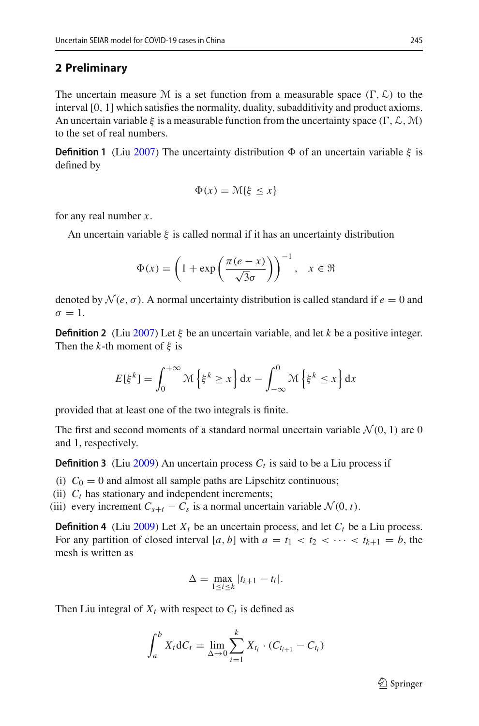#### <span id="page-2-0"></span>**2 Preliminary**

The uncertain measure M is a set function from a measurable space  $(\Gamma, \mathcal{L})$  to the interval [0, 1] which satisfies the normality, duality, subadditivity and product axioms. An uncertain variable  $\xi$  is a measurable function from the uncertainty space  $(\Gamma, \mathcal{L}, \mathcal{M})$ to the set of real numbers.

**Definition 1** (Li[u](#page-16-0) [2007\)](#page-16-0) The uncertainty distribution  $\Phi$  of an uncertain variable  $\xi$  is defined by

$$
\Phi(x) = \mathcal{M}\{\xi \le x\}
$$

for any real number *x*.

An uncertain variable  $\xi$  is called normal if it has an uncertainty distribution

$$
\Phi(x) = \left(1 + \exp\left(\frac{\pi(e-x)}{\sqrt{3}\sigma}\right)\right)^{-1}, \quad x \in \mathfrak{R}
$$

denoted by  $\mathcal{N}(e, \sigma)$ . A normal uncertainty distribution is called standard if  $e = 0$  and  $\sigma = 1$ .

**Definition 2** (Li[u](#page-16-0) [2007\)](#page-16-0) Let  $\xi$  be an uncertain variable, and let k be a positive integer. Then the *k*-th moment of  $\xi$  is

$$
E[\xi^{k}] = \int_{0}^{+\infty} \mathcal{M}\left\{\xi^{k} \geq x\right\} dx - \int_{-\infty}^{0} \mathcal{M}\left\{\xi^{k} \leq x\right\} dx
$$

provided that at least one of the two integrals is finite.

The first and second moments of a standard normal uncertain variable  $\mathcal{N}(0, 1)$  are 0 and 1, respectively.

**Definition 3** (Li[u](#page-16-1) [2009](#page-16-1)) An uncertain process  $C_t$  is said to be a Liu process if

- (i)  $C_0 = 0$  and almost all sample paths are Lipschitz continuous;
- (ii)  $C_t$  has stationary and independent increments;

(iii) every increment  $C_{s+t} - C_s$  is a normal uncertain variable  $\mathcal{N}(0, t)$ .

**Definition 4** (Li[u](#page-16-1) [2009](#page-16-1)) Let  $X_t$  be an uncertain process, and let  $C_t$  be a Liu process. For any partition of closed interval [a, b] with  $a = t_1 < t_2 < \cdots < t_{k+1} = b$ , the mesh is written as

$$
\Delta = \max_{1 \le i \le k} |t_{i+1} - t_i|.
$$

Then Liu integral of  $X_t$  with respect to  $C_t$  is defined as

$$
\int_{a}^{b} X_{t} dC_{t} = \lim_{\Delta \to 0} \sum_{i=1}^{k} X_{t_{i}} \cdot (C_{t_{i+1}} - C_{t_{i}})
$$

 $\mathcal{D}$  Springer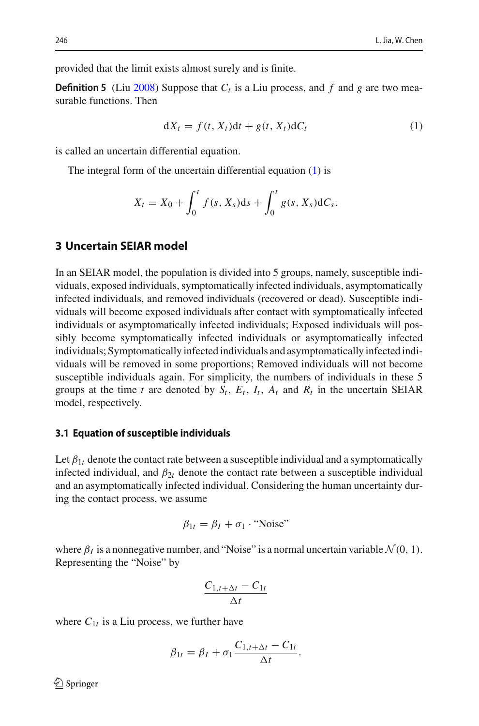provided that the limit exists almost surely and is finite.

**Definition 5** (Li[u](#page-16-2) [2008](#page-16-2)) Suppose that  $C_t$  is a Liu process, and f and g are two measurable functions. Then

<span id="page-3-1"></span>
$$
dX_t = f(t, X_t)dt + g(t, X_t)dC_t
$$
\n(1)

is called an uncertain differential equation.

The integral form of the uncertain differential equation [\(1\)](#page-3-1) is

$$
X_t = X_0 + \int_0^t f(s, X_s) ds + \int_0^t g(s, X_s) dC_s.
$$

## <span id="page-3-0"></span>**3 Uncertain SEIAR model**

In an SEIAR model, the population is divided into 5 groups, namely, susceptible individuals, exposed individuals, symptomatically infected individuals, asymptomatically infected individuals, and removed individuals (recovered or dead). Susceptible individuals will become exposed individuals after contact with symptomatically infected individuals or asymptomatically infected individuals; Exposed individuals will possibly become symptomatically infected individuals or asymptomatically infected individuals; Symptomatically infected individuals and asymptomatically infected individuals will be removed in some proportions; Removed individuals will not become susceptible individuals again. For simplicity, the numbers of individuals in these 5 groups at the time *t* are denoted by  $S_t$ ,  $E_t$ ,  $I_t$ ,  $A_t$  and  $R_t$  in the uncertain SEIAR model, respectively.

#### <span id="page-3-2"></span>**3.1 Equation of susceptible individuals**

Let  $\beta_{1t}$  denote the contact rate between a susceptible individual and a symptomatically infected individual, and  $\beta_{2t}$  denote the contact rate between a susceptible individual and an asymptomatically infected individual. Considering the human uncertainty during the contact process, we assume

$$
\beta_{1t} = \beta_I + \sigma_1 \cdot \text{``Noise''}
$$

where  $\beta_I$  is a nonnegative number, and "Noise" is a normal uncertain variable  $\mathcal{N}(0, 1)$ . Representing the "Noise" by

$$
\frac{C_{1,t+\Delta t}-C_{1t}}{\Delta t}
$$

where  $C_{1t}$  is a Liu process, we further have

$$
\beta_{1t} = \beta_I + \sigma_1 \frac{C_{1,t+\Delta t} - C_{1t}}{\Delta t}.
$$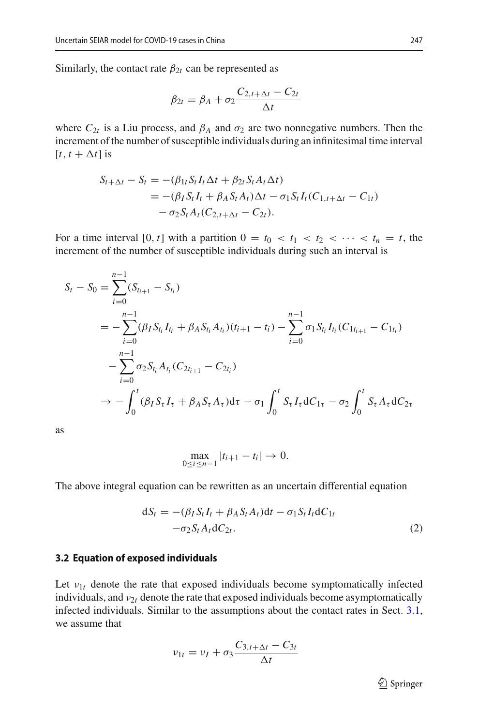Similarly, the contact rate  $\beta_{2t}$  can be represented as

$$
\beta_{2t} = \beta_A + \sigma_2 \frac{C_{2,t+\Delta t} - C_{2t}}{\Delta t}
$$

where  $C_{2t}$  is a Liu process, and  $\beta_A$  and  $\sigma_2$  are two nonnegative numbers. Then the increment of the number of susceptible individuals during an infinitesimal time interval  $[t, t + \Delta t]$  is

$$
S_{t+\Delta t} - S_t = -(\beta_{1t} S_t I_t \Delta t + \beta_{2t} S_t A_t \Delta t)
$$
  
= -(\beta\_I S\_t I\_t + \beta\_A S\_t A\_t) \Delta t - \sigma\_1 S\_t I\_t (C\_{1,t+\Delta t} - C\_{1t})  
- \sigma\_2 S\_t A\_t (C\_{2,t+\Delta t} - C\_{2t}).

For a time interval [0, *t*] with a partition  $0 = t_0 < t_1 < t_2 < \cdots < t_n = t$ , the increment of the number of susceptible individuals during such an interval is

$$
S_t - S_0 = \sum_{i=0}^{n-1} (S_{t_{i+1}} - S_{t_i})
$$
  
=  $-\sum_{i=0}^{n-1} (\beta_I S_{t_i} I_{t_i} + \beta_A S_{t_i} A_{t_i}) (t_{i+1} - t_i) - \sum_{i=0}^{n-1} \sigma_1 S_{t_i} I_{t_i} (C_{1t_{i+1}} - C_{1t_i})$   
 $- \sum_{i=0}^{n-1} \sigma_2 S_{t_i} A_{t_i} (C_{2t_{i+1}} - C_{2t_i})$   
 $\rightarrow - \int_0^t (\beta_I S_{\tau} I_{\tau} + \beta_A S_{\tau} A_{\tau}) d\tau - \sigma_1 \int_0^t S_{\tau} I_{\tau} dC_{1\tau} - \sigma_2 \int_0^t S_{\tau} A_{\tau} dC_{2\tau}$ 

as

$$
\max_{0 \le i \le n-1} |t_{i+1} - t_i| \to 0.
$$

The above integral equation can be rewritten as an uncertain differential equation

$$
dS_t = -(\beta_I S_t I_t + \beta_A S_t A_t)dt - \sigma_1 S_t I_t dC_{1t}
$$
  
-
$$
-\sigma_2 S_t A_t dC_{2t}.
$$
 (2)

#### <span id="page-4-0"></span>**3.2 Equation of exposed individuals**

Let  $v_{1t}$  denote the rate that exposed individuals become symptomatically infected individuals, and  $v_{2t}$  denote the rate that exposed individuals become asymptomatically infected individuals. Similar to the assumptions about the contact rates in Sect. [3.1,](#page-3-2) we assume that

$$
v_{1t} = v_I + \sigma_3 \frac{C_{3,t+\Delta t} - C_{3t}}{\Delta t}
$$

<sup>2</sup> Springer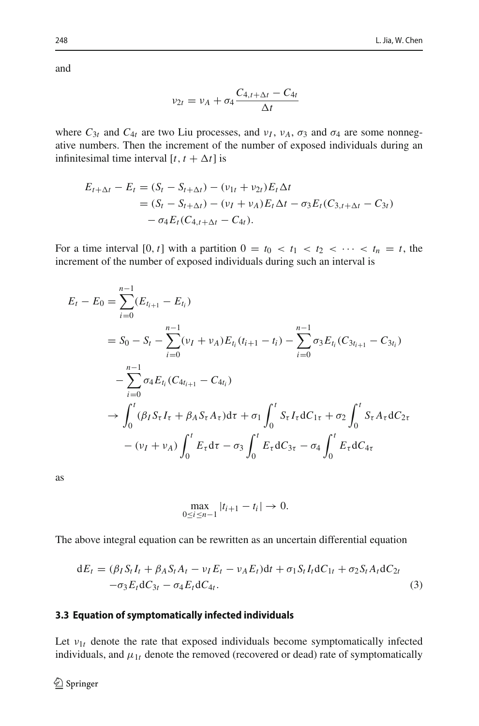and

$$
v_{2t} = v_A + \sigma_4 \frac{C_{4,t+\Delta t} - C_{4t}}{\Delta t}
$$

where  $C_{3t}$  and  $C_{4t}$  are two Liu processes, and  $v_I$ ,  $v_A$ ,  $\sigma_3$  and  $\sigma_4$  are some nonnegative numbers. Then the increment of the number of exposed individuals during an infinitesimal time interval  $[t, t + \Delta t]$  is

$$
E_{t+\Delta t} - E_t = (S_t - S_{t+\Delta t}) - (\nu_{1t} + \nu_{2t})E_t \Delta t
$$
  
=  $(S_t - S_{t+\Delta t}) - (\nu_I + \nu_A)E_t \Delta t - \sigma_3 E_t (C_{3,t+\Delta t} - C_{3t})$   
 $- \sigma_4 E_t (C_{4,t+\Delta t} - C_{4t}).$ 

For a time interval  $[0, t]$  with a partition  $0 = t_0 < t_1 < t_2 < \cdots < t_n = t$ , the increment of the number of exposed individuals during such an interval is

$$
E_{t} - E_{0} = \sum_{i=0}^{n-1} (E_{t_{i+1}} - E_{t_{i}})
$$
  
\n
$$
= S_{0} - S_{t} - \sum_{i=0}^{n-1} (\nu_{I} + \nu_{A}) E_{t_{i}} (t_{i+1} - t_{i}) - \sum_{i=0}^{n-1} \sigma_{3} E_{t_{i}} (C_{3t_{i+1}} - C_{3t_{i}})
$$
  
\n
$$
- \sum_{i=0}^{n-1} \sigma_{4} E_{t_{i}} (C_{4t_{i+1}} - C_{4t_{i}})
$$
  
\n
$$
\rightarrow \int_{0}^{t} (\beta_{I} S_{\tau} I_{\tau} + \beta_{A} S_{\tau} A_{\tau}) d\tau + \sigma_{1} \int_{0}^{t} S_{\tau} I_{\tau} dC_{1\tau} + \sigma_{2} \int_{0}^{t} S_{\tau} A_{\tau} dC_{2\tau}
$$
  
\n
$$
- (\nu_{I} + \nu_{A}) \int_{0}^{t} E_{\tau} d\tau - \sigma_{3} \int_{0}^{t} E_{\tau} dC_{3\tau} - \sigma_{4} \int_{0}^{t} E_{\tau} dC_{4\tau}
$$

as

$$
\max_{0 \le i \le n-1} |t_{i+1} - t_i| \to 0.
$$

The above integral equation can be rewritten as an uncertain differential equation

$$
dE_t = (\beta_I S_t I_t + \beta_A S_t A_t - v_I E_t - v_A E_t) dt + \sigma_1 S_t I_t dC_{1t} + \sigma_2 S_t A_t dC_{2t}
$$
  

$$
-\sigma_3 E_t dC_{3t} - \sigma_4 E_t dC_{4t}.
$$
 (3)

#### <span id="page-5-0"></span>**3.3 Equation of symptomatically infected individuals**

Let  $v_{1t}$  denote the rate that exposed individuals become symptomatically infected individuals, and  $\mu_{1t}$  denote the removed (recovered or dead) rate of symptomatically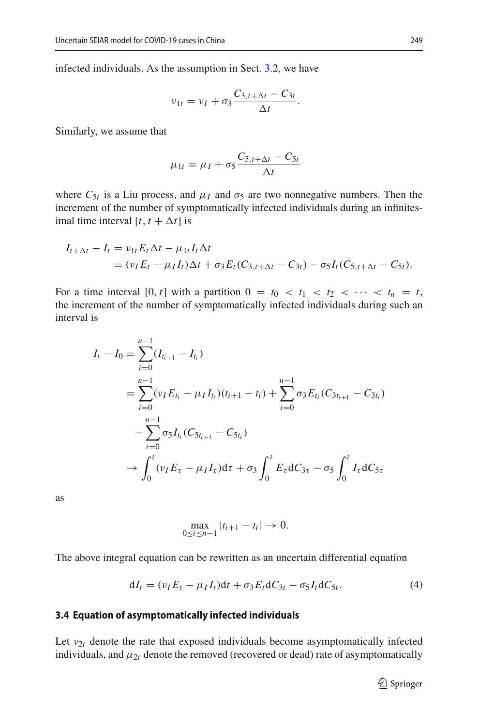infected individuals. As the assumption in Sect. [3.2,](#page-4-0) we have

$$
v_{1t}=v_I+\sigma_3\frac{C_{3,t+\Delta t}-C_{3t}}{\Delta t}.
$$

Similarly, we assume that

$$
\mu_{1t} = \mu_I + \sigma_5 \frac{C_{5,t+\Delta t} - C_{5t}}{\Delta t}
$$

where  $C_{5t}$  is a Liu process, and  $\mu_l$  and  $\sigma_5$  are two nonnegative numbers. Then the increment of the number of symptomatically infected individuals during an infinitesimal time interval  $[t, t + \Delta t]$  is

$$
I_{t+\Delta t} - I_t = v_{1t} E_t \Delta t - \mu_{1t} I_t \Delta t
$$
  
=  $(v_I E_t - \mu_I I_t) \Delta t + \sigma_3 E_t (C_{3,t+\Delta t} - C_{3t}) - \sigma_5 I_t (C_{5,t+\Delta t} - C_{5t}).$ 

For a time interval [0, *t*] with a partition  $0 = t_0 < t_1 < t_2 < \cdots < t_n = t$ , the increment of the number of symptomatically infected individuals during such an interval is

$$
I_{t} - I_{0} = \sum_{i=0}^{n-1} (I_{i_{i+1}} - I_{i_{i}})
$$
  
= 
$$
\sum_{i=0}^{n-1} (\nu_{I} E_{t_{i}} - \mu_{I} I_{t_{i}}) (t_{i+1} - t_{i}) + \sum_{i=0}^{n-1} \sigma_{3} E_{t_{i}} (C_{3t_{i+1}} - C_{3t_{i}})
$$
  
- 
$$
\sum_{i=0}^{n-1} \sigma_{5} I_{t_{i}} (C_{5t_{i+1}} - C_{5t_{i}})
$$
  

$$
\rightarrow \int_{0}^{t} (\nu_{I} E_{\tau} - \mu_{I} I_{\tau}) d\tau + \sigma_{3} \int_{0}^{t} E_{\tau} dC_{3\tau} - \sigma_{5} \int_{0}^{t} I_{\tau} dC_{5\tau}
$$

as

$$
\max_{0 \le i \le n-1} |t_{i+1} - t_i| \to 0.
$$

The above integral equation can be rewritten as an uncertain differential equation

$$
dI_t = (\nu_I E_t - \mu_I I_t)dt + \sigma_3 E_t dC_{3t} - \sigma_5 I_t dC_{5t}.
$$
\n(4)

#### <span id="page-6-0"></span>**3.4 Equation of asymptomatically infected individuals**

Let  $v_{2t}$  denote the rate that exposed individuals become asymptomatically infected individuals, and  $\mu_{2t}$  denote the removed (recovered or dead) rate of asymptomatically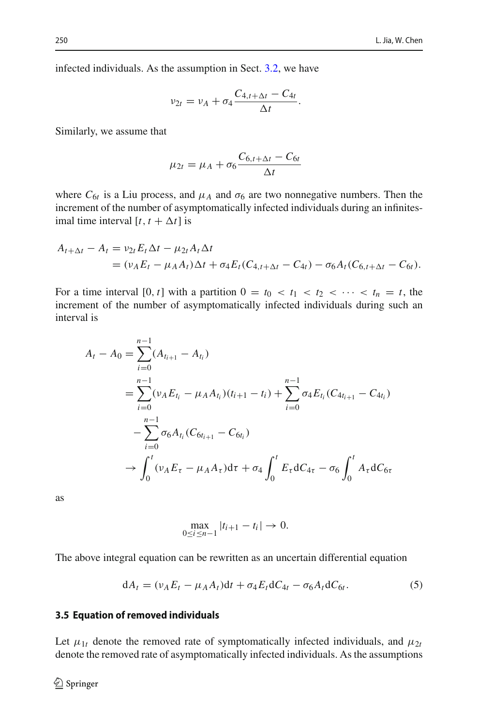infected individuals. As the assumption in Sect. [3.2,](#page-4-0) we have

$$
\nu_{2t} = \nu_A + \sigma_4 \frac{C_{4,t+\Delta t} - C_{4t}}{\Delta t}.
$$

Similarly, we assume that

$$
\mu_{2t} = \mu_A + \sigma_6 \frac{C_{6,t+\Delta t} - C_{6t}}{\Delta t}
$$

where  $C_{6t}$  is a Liu process, and  $\mu_A$  and  $\sigma_6$  are two nonnegative numbers. Then the increment of the number of asymptomatically infected individuals during an infinitesimal time interval  $[t, t + \Delta t]$  is

$$
A_{t+\Delta t} - A_t = v_{2t} E_t \Delta t - \mu_{2t} A_t \Delta t
$$
  
=  $(v_A E_t - \mu_A A_t) \Delta t + \sigma_4 E_t (C_{4,t+\Delta t} - C_{4t}) - \sigma_6 A_t (C_{6,t+\Delta t} - C_{6t}).$ 

For a time interval [0, *t*] with a partition  $0 = t_0 < t_1 < t_2 < \cdots < t_n = t$ , the increment of the number of asymptomatically infected individuals during such an interval is

$$
A_{t} - A_{0} = \sum_{i=0}^{n-1} (A_{i_{i+1}} - A_{t_{i}})
$$
  
= 
$$
\sum_{i=0}^{n-1} (\nu_{A} E_{t_{i}} - \mu_{A} A_{t_{i}}) (t_{i+1} - t_{i}) + \sum_{i=0}^{n-1} \sigma_{4} E_{t_{i}} (C_{4t_{i+1}} - C_{4t_{i}})
$$
  
- 
$$
\sum_{i=0}^{n-1} \sigma_{6} A_{t_{i}} (C_{6t_{i+1}} - C_{6t_{i}})
$$
  

$$
\rightarrow \int_{0}^{t} (\nu_{A} E_{\tau} - \mu_{A} A_{\tau}) d\tau + \sigma_{4} \int_{0}^{t} E_{\tau} dC_{4\tau} - \sigma_{6} \int_{0}^{t} A_{\tau} dC_{6\tau}
$$

as

$$
\max_{0 \le i \le n-1} |t_{i+1} - t_i| \to 0.
$$

The above integral equation can be rewritten as an uncertain differential equation

$$
dA_t = (\nu_A E_t - \mu_A A_t)dt + \sigma_4 E_t dC_{4t} - \sigma_6 A_t dC_{6t}.
$$
\n<sup>(5)</sup>

#### <span id="page-7-0"></span>**3.5 Equation of removed individuals**

Let  $\mu_{1t}$  denote the removed rate of symptomatically infected individuals, and  $\mu_{2t}$ denote the removed rate of asymptomatically infected individuals. As the assumptions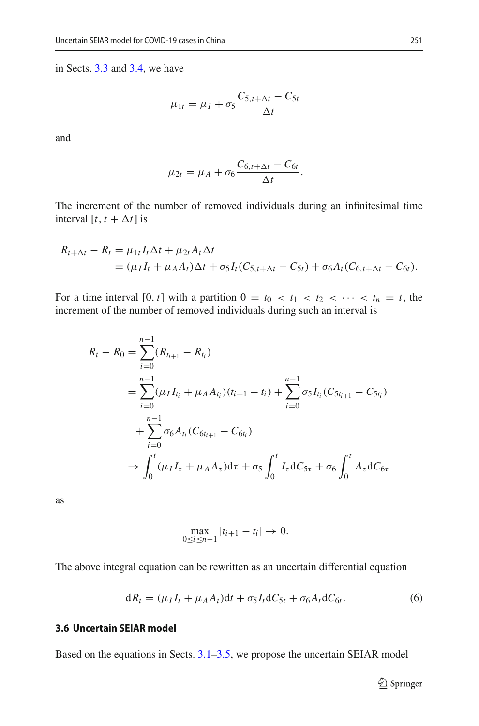in Sects. [3.3](#page-5-0) and [3.4,](#page-6-0) we have

$$
\mu_{1t} = \mu_I + \sigma_5 \frac{C_{5,t+\Delta t} - C_{5t}}{\Delta t}
$$

and

$$
\mu_{2t} = \mu_A + \sigma_6 \frac{C_{6,t+\Delta t} - C_{6t}}{\Delta t}.
$$

The increment of the number of removed individuals during an infinitesimal time interval  $[t, t + \Delta t]$  is

$$
R_{t+\Delta t} - R_t = \mu_{1t} I_t \Delta t + \mu_{2t} A_t \Delta t
$$
  
=  $(\mu_I I_t + \mu_A A_t) \Delta t + \sigma_5 I_t (C_{5,t+\Delta t} - C_{5t}) + \sigma_6 A_t (C_{6,t+\Delta t} - C_{6t}).$ 

For a time interval [0, *t*] with a partition  $0 = t_0 < t_1 < t_2 < \cdots < t_n = t$ , the increment of the number of removed individuals during such an interval is

$$
R_{t} - R_{0} = \sum_{i=0}^{n-1} (R_{t_{i+1}} - R_{t_{i}})
$$
  
= 
$$
\sum_{i=0}^{n-1} (\mu_{I} I_{t_{i}} + \mu_{A} A_{t_{i}}) (t_{i+1} - t_{i}) + \sum_{i=0}^{n-1} \sigma_{5} I_{t_{i}} (C_{5t_{i+1}} - C_{5t_{i}})
$$
  
+ 
$$
\sum_{i=0}^{n-1} \sigma_{6} A_{t_{i}} (C_{6t_{i+1}} - C_{6t_{i}})
$$
  

$$
\rightarrow \int_{0}^{t} (\mu_{I} I_{\tau} + \mu_{A} A_{\tau}) d\tau + \sigma_{5} \int_{0}^{t} I_{\tau} dC_{5\tau} + \sigma_{6} \int_{0}^{t} A_{\tau} dC_{6\tau}
$$

as

$$
\max_{0 \le i \le n-1} |t_{i+1} - t_i| \to 0.
$$

The above integral equation can be rewritten as an uncertain differential equation

$$
dR_t = (\mu_I I_t + \mu_A A_t)dt + \sigma_5 I_t dC_{5t} + \sigma_6 A_t dC_{6t}.
$$
\n
$$
(6)
$$

### **3.6 Uncertain SEIAR model**

Based on the equations in Sects. [3.1](#page-3-2)[–3.5,](#page-7-0) we propose the uncertain SEIAR model

<sup>2</sup> Springer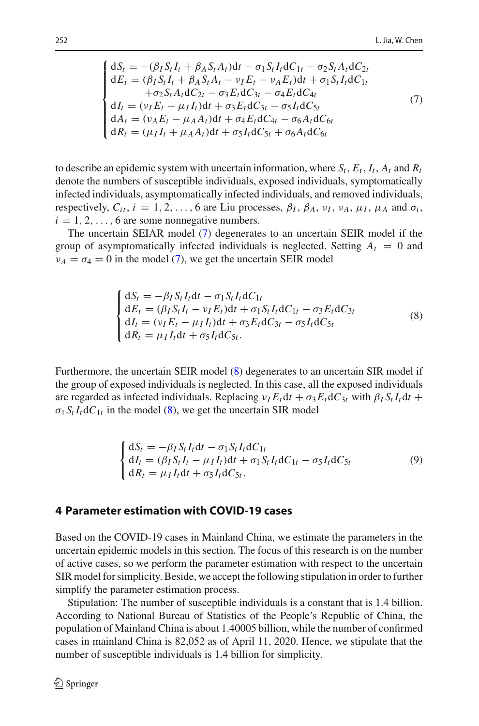<span id="page-9-1"></span>
$$
\begin{cases}\ndS_t = -(\beta_I S_t I_t + \beta_A S_t A_t)dt - \sigma_1 S_t I_t dC_{1t} - \sigma_2 S_t A_t dC_{2t} \ndE_t = (\beta_I S_t I_t + \beta_A S_t A_t - \nu_I E_t - \nu_A E_t)dt + \sigma_1 S_t I_t dC_{1t} \n+ \sigma_2 S_t A_t dC_{2t} - \sigma_3 E_t dC_{3t} - \sigma_4 E_t dC_{4t} \ndI_t = (\nu_I E_t - \mu_I I_t)dt + \sigma_3 E_t dC_{3t} - \sigma_5 I_t dC_{5t} \ndA_t = (\nu_A E_t - \mu_A A_t)dt + \sigma_4 E_t dC_{4t} - \sigma_6 A_t dC_{6t} \ndR_t = (\mu_I I_t + \mu_A A_t)dt + \sigma_5 I_t dC_{5t} + \sigma_6 A_t dC_{6t} \n\end{cases} (7)
$$

to describe an epidemic system with uncertain information, where  $S_t$ ,  $E_t$ ,  $I_t$ ,  $A_t$  and  $R_t$ denote the numbers of susceptible individuals, exposed individuals, symptomatically infected individuals, asymptomatically infected individuals, and removed individuals, respectively,  $C_{it}$ ,  $i = 1, 2, ..., 6$  are Liu processes,  $\beta_I$ ,  $\beta_A$ ,  $\nu_I$ ,  $\nu_A$ ,  $\mu_I$ ,  $\mu_A$  and  $\sigma_i$ ,  $i = 1, 2, \ldots, 6$  are some nonnegative numbers.

The uncertain SEIAR model [\(7\)](#page-9-1) degenerates to an uncertain SEIR model if the group of asymptomatically infected individuals is neglected. Setting  $A_t = 0$  and  $\nu_A = \sigma_4 = 0$  in the model [\(7\)](#page-9-1), we get the uncertain SEIR model

<span id="page-9-2"></span>
$$
\begin{cases}\ndS_t = -\beta_I S_t I_t dt - \sigma_1 S_t I_t dC_{1t} \\
dE_t = (\beta_I S_t I_t - \nu_I E_t) dt + \sigma_1 S_t I_t dC_{1t} - \sigma_3 E_t dC_{3t} \\
dI_t = (\nu_I E_t - \mu_I I_t) dt + \sigma_3 E_t dC_{3t} - \sigma_5 I_t dC_{5t} \\
dR_t = \mu_I I_t dt + \sigma_5 I_t dC_{5t}.\n\end{cases} \tag{8}
$$

Furthermore, the uncertain SEIR model [\(8\)](#page-9-2) degenerates to an uncertain SIR model if the group of exposed individuals is neglected. In this case, all the exposed individuals are regarded as infected individuals. Replacing  $\nu_l E_t dt + \sigma_3 E_t dC_{3t}$  with  $\beta_l S_t I_t dt +$  $\sigma_1 S_t I_t dC_{1t}$  in the model [\(8\)](#page-9-2), we get the uncertain SIR model

<span id="page-9-3"></span>
$$
\begin{cases}\ndS_t = -\beta_I S_t I_t dt - \sigma_1 S_t I_t dC_{1t} \\
dI_t = (\beta_I S_t I_t - \mu_I I_t) dt + \sigma_1 S_t I_t dC_{1t} - \sigma_5 I_t dC_{5t} \\
dR_t = \mu_I I_t dt + \sigma_5 I_t dC_{5t}.\n\end{cases} \tag{9}
$$

#### <span id="page-9-0"></span>**4 Parameter estimation with COVID-19 cases**

Based on the COVID-19 cases in Mainland China, we estimate the parameters in the uncertain epidemic models in this section. The focus of this research is on the number of active cases, so we perform the parameter estimation with respect to the uncertain SIR model for simplicity. Beside, we accept the following stipulation in order to further simplify the parameter estimation process.

Stipulation: The number of susceptible individuals is a constant that is 1.4 billion. According to National Bureau of Statistics of the People's Republic of China, the population of Mainland China is about 1.40005 billion, while the number of confirmed cases in mainland China is 82,052 as of April 11, 2020. Hence, we stipulate that the number of susceptible individuals is 1.4 billion for simplicity.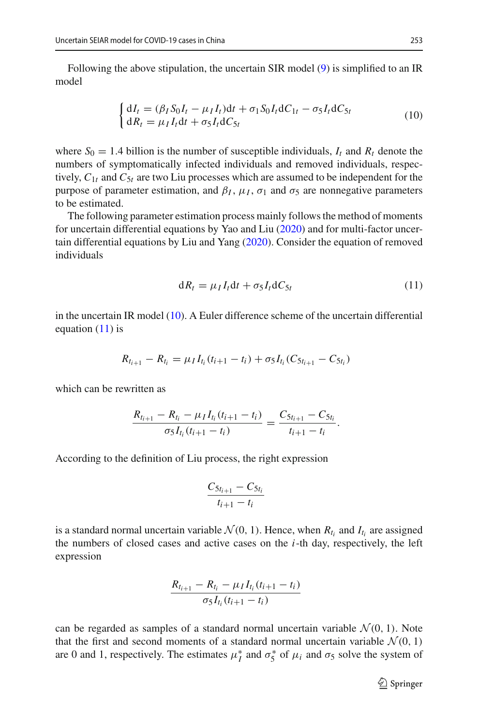Following the above stipulation, the uncertain SIR model [\(9\)](#page-9-3) is simplified to an IR model

<span id="page-10-0"></span>
$$
\begin{cases} dI_t = (\beta_I S_0 I_t - \mu_I I_t)dt + \sigma_1 S_0 I_t dC_{1t} - \sigma_5 I_t dC_{5t} \\ dR_t = \mu_I I_t dt + \sigma_5 I_t dC_{5t} \end{cases}
$$
(10)

where  $S_0 = 1.4$  billion is the number of susceptible individuals,  $I_t$  and  $R_t$  denote the numbers of symptomatically infected individuals and removed individuals, respectively,  $C_{1t}$  and  $C_{5t}$  are two Liu processes which are assumed to be independent for the purpose of parameter estimation, and  $β_I$ ,  $μ_I$ ,  $σ_I$  and  $σ_5$  are nonnegative parameters to be estimated.

The following parameter estimation process mainly follows the method of moments for uncertain differential equations by Yao and Li[u](#page-16-7) [\(2020\)](#page-16-7) and for multi-factor uncertain differential equations by Liu and Yan[g](#page-16-14) [\(2020\)](#page-16-14). Consider the equation of removed individuals

<span id="page-10-1"></span>
$$
dR_t = \mu_I I_t dt + \sigma_5 I_t dC_{5t} \tag{11}
$$

in the uncertain IR model [\(10\)](#page-10-0). A Euler difference scheme of the uncertain differential equation  $(11)$  is

$$
R_{t_{i+1}} - R_{t_i} = \mu_I I_{t_i} (t_{i+1} - t_i) + \sigma_5 I_{t_i} (C_{5t_{i+1}} - C_{5t_i})
$$

which can be rewritten as

$$
\frac{R_{t_{i+1}}-R_{t_i}-\mu_I I_{t_i}(t_{i+1}-t_i)}{\sigma_5 I_{t_i}(t_{i+1}-t_i)}=\frac{C_{5t_{i+1}}-C_{5t_i}}{t_{i+1}-t_i}.
$$

According to the definition of Liu process, the right expression

$$
\frac{C_{5t_{i+1}} - C_{5t_i}}{t_{i+1} - t_i}
$$

is a standard normal uncertain variable  $\mathcal{N}(0, 1)$ . Hence, when  $R_{t_i}$  and  $I_{t_i}$  are assigned the numbers of closed cases and active cases on the *i*-th day, respectively, the left expression

$$
\frac{R_{t_{i+1}} - R_{t_i} - \mu_I I_{t_i}(t_{i+1} - t_i)}{\sigma_5 I_{t_i}(t_{i+1} - t_i)}
$$

can be regarded as samples of a standard normal uncertain variable  $\mathcal{N}(0, 1)$ . Note that the first and second moments of a standard normal uncertain variable  $\mathcal{N}(0, 1)$ are 0 and 1, respectively. The estimates  $\mu_I^*$  and  $\sigma_S^*$  of  $\mu_i$  and  $\sigma_S$  solve the system of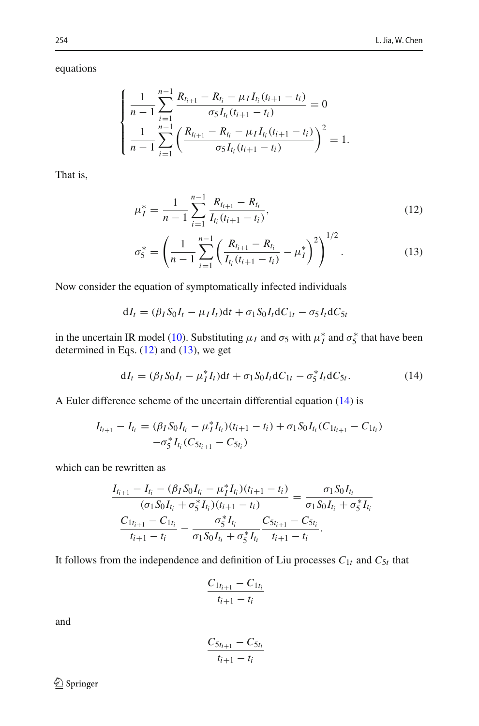equations

$$
\begin{cases}\n\frac{1}{n-1}\sum_{i=1}^{n-1}\frac{R_{t_{i+1}}-R_{t_i}-\mu_I I_{t_i}(t_{i+1}-t_i)}{\sigma_5 I_{t_i}(t_{i+1}-t_i)}=0\\ \n\frac{1}{n-1}\sum_{i=1}^{n-1}\left(\frac{R_{t_{i+1}}-R_{t_i}-\mu_I I_{t_i}(t_{i+1}-t_i)}{\sigma_5 I_{t_i}(t_{i+1}-t_i)}\right)^2=1.\n\end{cases}
$$

That is,

<span id="page-11-0"></span>
$$
\mu_I^* = \frac{1}{n-1} \sum_{i=1}^{n-1} \frac{R_{t_{i+1}} - R_{t_i}}{I_{t_i}(t_{i+1} - t_i)},
$$
\n(12)

$$
\sigma_5^* = \left(\frac{1}{n-1} \sum_{i=1}^{n-1} \left( \frac{R_{t_{i+1}} - R_{t_i}}{I_{t_i}(t_{i+1} - t_i)} - \mu_I^* \right)^2 \right)^{1/2}.
$$
 (13)

Now consider the equation of symptomatically infected individuals

$$
dI_t = (\beta_I S_0 I_t - \mu_I I_t) dt + \sigma_1 S_0 I_t dC_{1t} - \sigma_5 I_t dC_{5t}
$$

in the uncertain IR model [\(10\)](#page-10-0). Substituting  $\mu_I$  and  $\sigma_5$  with  $\mu_I^*$  and  $\sigma_5^*$  that have been determined in Eqs. [\(12\)](#page-11-0) and [\(13\)](#page-11-0), we get

<span id="page-11-1"></span>
$$
dI_t = (\beta_I S_0 I_t - \mu_I^* I_t) dt + \sigma_1 S_0 I_t dC_{1t} - \sigma_5^* I_t dC_{5t}.
$$
 (14)

A Euler difference scheme of the uncertain differential equation [\(14\)](#page-11-1) is

$$
I_{t_{i+1}} - I_{t_i} = (\beta_I S_0 I_{t_i} - \mu_I^* I_{t_i})(t_{i+1} - t_i) + \sigma_1 S_0 I_{t_i} (C_{1t_{i+1}} - C_{1t_i})
$$
  

$$
- \sigma_5^* I_{t_i} (C_{5t_{i+1}} - C_{5t_i})
$$

which can be rewritten as

$$
\frac{I_{t_{i+1}} - I_{t_i} - (\beta_I S_0 I_{t_i} - \mu_I^* I_{t_i})(t_{i+1} - t_i)}{(\sigma_1 S_0 I_{t_i} + \sigma_5^* I_{t_i})(t_{i+1} - t_i)} = \frac{\sigma_1 S_0 I_{t_i}}{\sigma_1 S_0 I_{t_i} + \sigma_5^* I_{t_i}}
$$
\n
$$
\frac{C_{1t_{i+1}} - C_{1t_i}}{t_{i+1} - t_i} - \frac{\sigma_5^* I_{t_i}}{\sigma_1 S_0 I_{t_i} + \sigma_5^* I_{t_i}} \frac{C_{5t_{i+1}} - C_{5t_i}}{t_{i+1} - t_i}.
$$

It follows from the independence and definition of Liu processes  $C_{1t}$  and  $C_{5t}$  that

$$
\frac{C_{1t_{i+1}} - C_{1t_i}}{t_{i+1} - t_i}
$$

and

$$
\frac{C_{5t_{i+1}} - C_{5t_i}}{t_{i+1} - t_i}
$$

 $\hat{2}$  Springer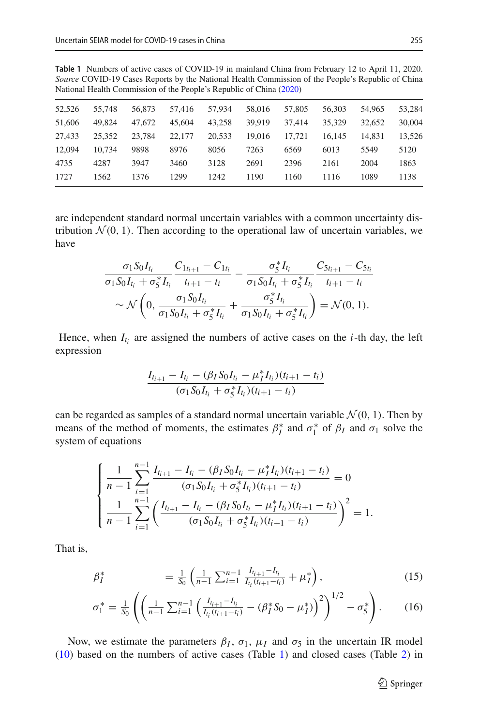<span id="page-12-0"></span>**Table 1** Numbers of active cases of COVID-19 in mainland China from February 12 to April 11, 2020. *Source* COVID-19 Cases Reports by the National Health Commission of the People's Republic of China National Health Commission of the People's Republic of Chin[a](#page-16-16) [\(2020](#page-16-16))

| 52,526 | 55,748 | 56,873 | 57.416 | 57.934 | 58,016 | 57,805 | 56,303 | 54,965 | 53,284 |
|--------|--------|--------|--------|--------|--------|--------|--------|--------|--------|
| 51,606 | 49.824 | 47,672 | 45,604 | 43.258 | 39.919 | 37.414 | 35,329 | 32,652 | 30,004 |
| 27.433 | 25.352 | 23.784 | 22,177 | 20.533 | 19.016 | 17.721 | 16.145 | 14.831 | 13,526 |
| 12,094 | 10.734 | 9898   | 8976   | 8056   | 7263   | 6569   | 6013   | 5549   | 5120   |
| 4735   | 4287   | 3947   | 3460   | 3128   | 2691   | 2396   | 2161   | 2004   | 1863   |
| 1727   | 1562   | 1376   | 1299   | 1242   | 1190   | 1160   | 1116   | 1089   | 1138   |
|        |        |        |        |        |        |        |        |        |        |

are independent standard normal uncertain variables with a common uncertainty distribution  $\mathcal{N}(0, 1)$ . Then according to the operational law of uncertain variables, we have

$$
\frac{\sigma_1 S_0 I_{t_i}}{\sigma_1 S_0 I_{t_i} + \sigma_5^* I_{t_i}} \frac{C_{1t_{i+1}} - C_{1t_i}}{t_{i+1} - t_i} - \frac{\sigma_5^* I_{t_i}}{\sigma_1 S_0 I_{t_i} + \sigma_5^* I_{t_i}} \frac{C_{5t_{i+1}} - C_{5t_i}}{t_{i+1} - t_i} \n\sim \mathcal{N}\left(0, \frac{\sigma_1 S_0 I_{t_i}}{\sigma_1 S_0 I_{t_i} + \sigma_5^* I_{t_i}} + \frac{\sigma_5^* I_{t_i}}{\sigma_1 S_0 I_{t_i} + \sigma_5^* I_{t_i}}\right) = \mathcal{N}(0, 1).
$$

Hence, when  $I_{t_i}$  are assigned the numbers of active cases on the *i*-th day, the left expression

$$
\frac{I_{t_{i+1}} - I_{t_i} - (\beta_I S_0 I_{t_i} - \mu_I^* I_{t_i})(t_{i+1} - t_i)}{(\sigma_1 S_0 I_{t_i} + \sigma_S^* I_{t_i})(t_{i+1} - t_i)}
$$

can be regarded as samples of a standard normal uncertain variable  $\mathcal{N}(0, 1)$ . Then by means of the method of moments, the estimates  $\beta_I^*$  and  $\sigma_I^*$  of  $\beta_I$  and  $\sigma_I$  solve the system of equations

$$
\begin{cases}\n\frac{1}{n-1} \sum_{i=1}^{n-1} \frac{I_{t_{i+1}} - I_{t_i} - (\beta_I S_0 I_{t_i} - \mu_I^* I_{t_i})(t_{i+1} - t_i)}{(\sigma_1 S_0 I_{t_i} + \sigma_5^* I_{t_i})(t_{i+1} - t_i)} = 0 \\
\frac{1}{n-1} \sum_{i=1}^{n-1} \left( \frac{I_{t_{i+1}} - I_{t_i} - (\beta_I S_0 I_{t_i} - \mu_I^* I_{t_i})(t_{i+1} - t_i)}{(\sigma_1 S_0 I_{t_i} + \sigma_5^* I_{t_i})(t_{i+1} - t_i)} \right)^2 = 1.\n\end{cases}
$$

That is,

<span id="page-12-1"></span>
$$
\beta_I^* = \frac{1}{S_0} \left( \frac{1}{n-1} \sum_{i=1}^{n-1} \frac{I_{t_{i+1}} - I_{t_i}}{I_{t_i}(t_{i+1} - t_i)} + \mu_I^* \right), \tag{15}
$$

$$
\sigma_1^* = \frac{1}{S_0} \left( \left( \frac{1}{n-1} \sum_{i=1}^{n-1} \left( \frac{I_{t_{i+1}} - I_{t_i}}{I_{t_i}(t_{i+1} - t_i)} - (\beta_I^* S_0 - \mu_I^*) \right)^2 \right)^{1/2} - \sigma_5^* \right). \tag{16}
$$

Now, we estimate the parameters  $\beta_I$ ,  $\sigma_1$ ,  $\mu_I$  and  $\sigma_5$  in the uncertain IR model [\(10\)](#page-10-0) based on the numbers of active cases (Table [1\)](#page-12-0) and closed cases (Table [2\)](#page-13-1) in

<sup>2</sup> Springer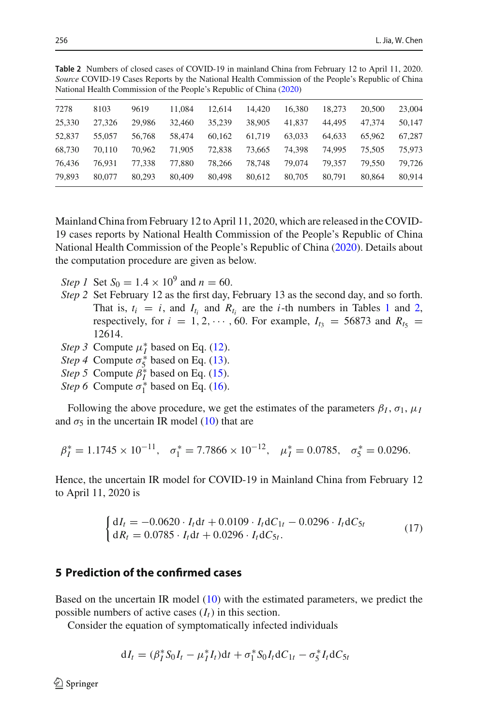| $\alpha$ real real commission of the People's Republic of China (2020) |        |        |        |        |        |        |        |        |        |  |
|------------------------------------------------------------------------|--------|--------|--------|--------|--------|--------|--------|--------|--------|--|
| 7278                                                                   | 8103   | 9619   | 11.084 | 12.614 | 14.420 | 16.380 | 18.273 | 20,500 | 23,004 |  |
| 25,330                                                                 | 27.326 | 29.986 | 32,460 | 35.239 | 38,905 | 41.837 | 44,495 | 47.374 | 50,147 |  |
| 52,837                                                                 | 55,057 | 56,768 | 58,474 | 60.162 | 61.719 | 63,033 | 64.633 | 65,962 | 67,287 |  |
| 68,730                                                                 | 70.110 | 70,962 | 71.905 | 72.838 | 73,665 | 74.398 | 74.995 | 75.505 | 75,973 |  |
| 76,436                                                                 | 76.931 | 77.338 | 77.880 | 78.266 | 78,748 | 79,074 | 79.357 | 79.550 | 79.726 |  |
| 79.893                                                                 | 80,077 | 80,293 | 80,409 | 80.498 | 80.612 | 80,705 | 80.791 | 80.864 | 80,914 |  |

<span id="page-13-1"></span>**Table 2** Numbers of closed cases of COVID-19 in mainland China from February 12 to April 11, 2020. *Source* COVID-19 Cases Reports by the National Health Commission of the People's Republic of China National Health Commission of the People's Republic of Chin[a](#page-16-16) [\(2020](#page-16-16))

Mainland China from February 12 to April 11, 2020, which are released in the COVID-19 cases reports by National Health Commission of the People's Republic of China National Health Commission of the People's Republic of Chin[a](#page-16-16) [\(2020](#page-16-16)). Details about the computation procedure are given as below.

*Step 1* Set  $S_0 = 1.4 \times 10^9$  and  $n = 60$ .

- *Step 2* Set February 12 as the first day, February 13 as the second day, and so forth. That is,  $t_i = i$ , and  $I_{t_i}$  and  $R_{t_i}$  are the *i*-th numbers in Tables [1](#page-12-0) and [2,](#page-13-1) respectively, for  $i = 1, 2, \dots, 60$ . For example,  $I_{t_3} = 56873$  and  $R_{t_5} =$ 12614.
- *Step 3* Compute  $\mu_I^*$  based on Eq. [\(12\)](#page-11-0).
- *Step 4* Compute  $\sigma_5^*$  based on Eq. [\(13\)](#page-11-0).
- *Step 5* Compute  $\beta_{I}^{*}$  based on Eq. [\(15\)](#page-12-1).
- *Step 6* Compute  $\sigma_1^*$  based on Eq. [\(16\)](#page-12-1).

Following the above procedure, we get the estimates of the parameters  $\beta_I$ ,  $\sigma_1$ ,  $\mu_I$ and  $\sigma_5$  in the uncertain IR model [\(10\)](#page-10-0) that are

$$
\beta_I^* = 1.1745 \times 10^{-11}, \quad \sigma_1^* = 7.7866 \times 10^{-12}, \quad \mu_I^* = 0.0785, \quad \sigma_5^* = 0.0296.
$$

Hence, the uncertain IR model for COVID-19 in Mainland China from February 12 to April 11, 2020 is

$$
\begin{cases} dI_t = -0.0620 \cdot I_t dt + 0.0109 \cdot I_t dC_{1t} - 0.0296 \cdot I_t dC_{5t} \\ dR_t = 0.0785 \cdot I_t dt + 0.0296 \cdot I_t dC_{5t} .\end{cases}
$$
(17)

## <span id="page-13-0"></span>**5 Prediction of the confirmed cases**

Based on the uncertain IR model [\(10\)](#page-10-0) with the estimated parameters, we predict the possible numbers of active cases  $(I_t)$  in this section.

Consider the equation of symptomatically infected individuals

$$
dI_t = (\beta_I^* S_0 I_t - \mu_I^* I_t) dt + \sigma_1^* S_0 I_t dC_{1t} - \sigma_5^* I_t dC_{5t}
$$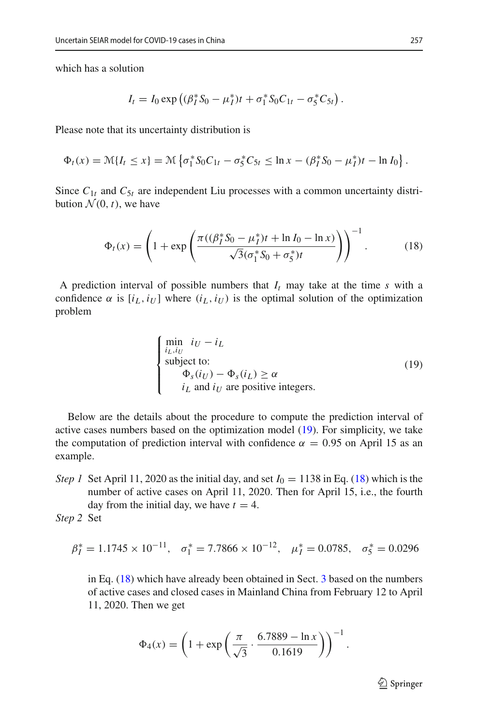which has a solution

$$
I_t = I_0 \exp \left( (\beta_I^* S_0 - \mu_I^*) t + \sigma_1^* S_0 C_{1t} - \sigma_5^* C_{5t} \right).
$$

Please note that its uncertainty distribution is

$$
\Phi_t(x) = \mathcal{M}\{I_t \le x\} = \mathcal{M}\left\{\sigma_1^* S_0 C_{1t} - \sigma_5^* C_{5t} \le \ln x - (\beta_I^* S_0 - \mu_I^*) t - \ln I_0\right\}.
$$

Since  $C_{1t}$  and  $C_{5t}$  are independent Liu processes with a common uncertainty distribution  $\mathcal{N}(0, t)$ , we have

<span id="page-14-1"></span>
$$
\Phi_t(x) = \left(1 + \exp\left(\frac{\pi((\beta_I^* S_0 - \mu_I^*)t + \ln I_0 - \ln x)}{\sqrt{3}(\sigma_1^* S_0 + \sigma_5^*)t}\right)\right)^{-1}.\tag{18}
$$

A prediction interval of possible numbers that  $I_t$  may take at the time  $s$  with a confidence  $\alpha$  is  $[i_L, i_U]$  where  $(i_L, i_U)$  is the optimal solution of the optimization problem

<span id="page-14-0"></span>
$$
\begin{cases}\n\min_{i_L, i_U} i_U - i_L \\
\text{subject to:} \\
\Phi_s(i_U) - \Phi_s(i_L) \ge \alpha \\
i_L \text{ and } i_U \text{ are positive integers.} \n\end{cases}
$$
\n(19)

Below are the details about the procedure to compute the prediction interval of active cases numbers based on the optimization model [\(19\)](#page-14-0). For simplicity, we take the computation of prediction interval with confidence  $\alpha = 0.95$  on April 15 as an example.

*Step 1* Set April 11, 2020 as the initial day, and set  $I_0 = 1138$  in Eq. [\(18\)](#page-14-1) which is the number of active cases on April 11, 2020. Then for April 15, i.e., the fourth day from the initial day, we have  $t = 4$ .

*Step 2* Set

$$
\beta_I^* = 1.1745 \times 10^{-11}, \quad \sigma_1^* = 7.7866 \times 10^{-12}, \quad \mu_I^* = 0.0785, \quad \sigma_5^* = 0.0296
$$

in Eq. [\(18\)](#page-14-1) which have already been obtained in Sect. [3](#page-3-0) based on the numbers of active cases and closed cases in Mainland China from February 12 to April 11, 2020. Then we get

$$
\Phi_4(x) = \left(1 + \exp\left(\frac{\pi}{\sqrt{3}} \cdot \frac{6.7889 - \ln x}{0.1619}\right)\right)^{-1}.
$$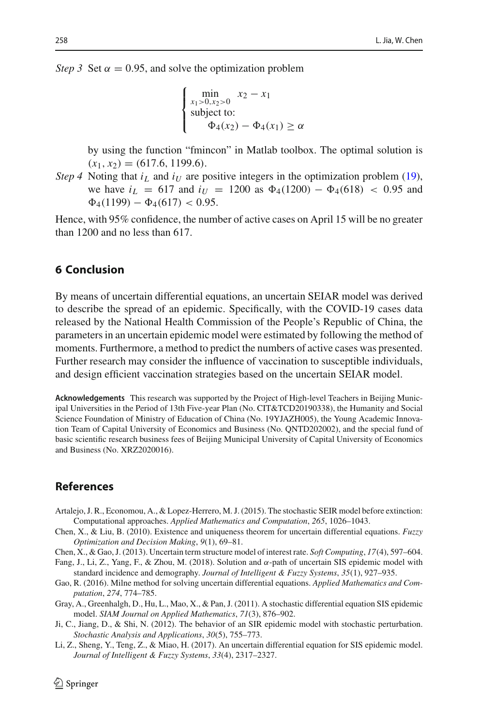*Step 3* Set  $\alpha = 0.95$ , and solve the optimization problem

$$
\begin{cases}\n\min_{x_1 > 0, x_2 > 0} x_2 - x_1 \\
\text{subject to:} \\
\Phi_4(x_2) - \Phi_4(x_1) \ge \alpha\n\end{cases}
$$

by using the function "fmincon" in Matlab toolbox. The optimal solution is  $(x_1, x_2) = (617.6, 1199.6).$ 

*Step 4* Noting that  $i_L$  and  $i_U$  are positive integers in the optimization problem [\(19\)](#page-14-0), we have  $i_L = 617$  and  $i_U = 1200$  as  $\Phi_4(1200) - \Phi_4(618) < 0.95$  and  $\Phi_4(1199) - \Phi_4(617) < 0.95$ .

Hence, with 95% confidence, the number of active cases on April 15 will be no greater than 1200 and no less than 617.

#### <span id="page-15-8"></span>**6 Conclusion**

By means of uncertain differential equations, an uncertain SEIAR model was derived to describe the spread of an epidemic. Specifically, with the COVID-19 cases data released by the National Health Commission of the People's Republic of China, the parameters in an uncertain epidemic model were estimated by following the method of moments. Furthermore, a method to predict the numbers of active cases was presented. Further research may consider the influence of vaccination to susceptible individuals, and design efficient vaccination strategies based on the uncertain SEIAR model.

**Acknowledgements** This research was supported by the Project of High-level Teachers in Beijing Municipal Universities in the Period of 13th Five-year Plan (No. CIT&TCD20190338), the Humanity and Social Science Foundation of Ministry of Education of China (No. 19YJAZH005), the Young Academic Innovation Team of Capital University of Economics and Business (No. QNTD202002), and the special fund of basic scientific research business fees of Beijing Municipal University of Capital University of Economics and Business (No. XRZ2020016).

## **References**

- <span id="page-15-2"></span>Artalejo, J. R., Economou, A., & Lopez-Herrero, M. J. (2015). The stochastic SEIR model before extinction: Computational approaches. *Applied Mathematics and Computation*, *265*, 1026–1043.
- <span id="page-15-3"></span>Chen, X., & Liu, B. (2010). Existence and uniqueness theorem for uncertain differential equations. *Fuzzy Optimization and Decision Making*, *9*(1), 69–81.
- <span id="page-15-5"></span>Chen, X., & Gao, J. (2013). Uncertain term structure model of interest rate. *Soft Computing*, *17*(4), 597–604.
- <span id="page-15-7"></span>Fang, J., Li, Z., Yang, F., & Zhou, M. (2018). Solution and  $\alpha$ -path of uncertain SIS epidemic model with standard incidence and demography. *Journal of Intelligent & Fuzzy Systems*, *35*(1), 927–935.
- <span id="page-15-4"></span>Gao, R. (2016). Milne method for solving uncertain differential equations. *Applied Mathematics and Computation*, *274*, 774–785.
- <span id="page-15-0"></span>Gray, A., Greenhalgh, D., Hu, L., Mao, X., & Pan, J. (2011). A stochastic differential equation SIS epidemic model. *SIAM Journal on Applied Mathematics*, *71*(3), 876–902.
- <span id="page-15-1"></span>Ji, C., Jiang, D., & Shi, N. (2012). The behavior of an SIR epidemic model with stochastic perturbation. *Stochastic Analysis and Applications*, *30*(5), 755–773.
- <span id="page-15-6"></span>Li, Z., Sheng, Y., Teng, Z., & Miao, H. (2017). An uncertain differential equation for SIS epidemic model. *Journal of Intelligent & Fuzzy Systems*, *33*(4), 2317–2327.